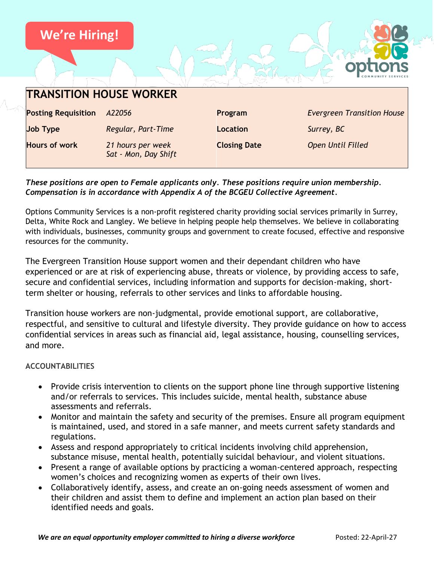

#### *These positions are open to Female applicants only. These positions require union membership. Compensation is in accordance with Appendix A of the BCGEU Collective Agreement.*

Options Community Services is a non-profit registered charity providing social services primarily in Surrey, Delta, White Rock and Langley. We believe in helping people help themselves. We believe in collaborating with individuals, businesses, community groups and government to create focused, effective and responsive resources for the community.

The Evergreen Transition House support women and their dependant children who have experienced or are at risk of experiencing abuse, threats or violence, by providing access to safe, secure and confidential services, including information and supports for decision-making, shortterm shelter or housing, referrals to other services and links to affordable housing.

Transition house workers are non-judgmental, provide emotional support, are collaborative, respectful, and sensitive to cultural and lifestyle diversity. They provide guidance on how to access confidential services in areas such as financial aid, legal assistance, housing, counselling services, and more.

#### **ACCOUNTABILITIES**

- Provide crisis intervention to clients on the support phone line through supportive listening and/or referrals to services. This includes suicide, mental health, substance abuse assessments and referrals.
- Monitor and maintain the safety and security of the premises. Ensure all program equipment is maintained, used, and stored in a safe manner, and meets current safety standards and regulations.
- Assess and respond appropriately to critical incidents involving child apprehension, substance misuse, mental health, potentially suicidal behaviour, and violent situations.
- Present a range of available options by practicing a woman-centered approach, respecting women's choices and recognizing women as experts of their own lives.
- Collaboratively identify, assess, and create an on-going needs assessment of women and their children and assist them to define and implement an action plan based on their identified needs and goals.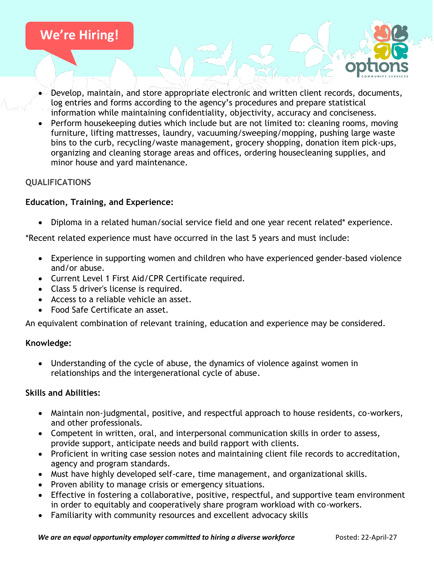

- Develop, maintain, and store appropriate electronic and written client records, documents, log entries and forms according to the agency's procedures and prepare statistical information while maintaining confidentiality, objectivity, accuracy and conciseness.
- Perform housekeeping duties which include but are not limited to: cleaning rooms, moving furniture, lifting mattresses, laundry, vacuuming/sweeping/mopping, pushing large waste bins to the curb, recycling/waste management, grocery shopping, donation item pick-ups, organizing and cleaning storage areas and offices, ordering housecleaning supplies, and minor house and yard maintenance.

## **QUALIFICATIONS**

### **Education, Training, and Experience:**

• Diploma in a related human/social service field and one year recent related\* experience.

\*Recent related experience must have occurred in the last 5 years and must include:

- Experience in supporting women and children who have experienced gender-based violence and/or abuse.
- Current Level 1 First Aid/CPR Certificate required.
- Class 5 driver's license is required.
- Access to a reliable vehicle an asset.
- Food Safe Certificate an asset.

An equivalent combination of relevant training, education and experience may be considered.

#### **Knowledge:**

• Understanding of the cycle of abuse, the dynamics of violence against women in relationships and the intergenerational cycle of abuse.

#### **Skills and Abilities:**

- Maintain non-judgmental, positive, and respectful approach to house residents, co-workers, and other professionals.
- Competent in written, oral, and interpersonal communication skills in order to assess, provide support, anticipate needs and build rapport with clients.
- Proficient in writing case session notes and maintaining client file records to accreditation, agency and program standards.
- Must have highly developed self-care, time management, and organizational skills.
- Proven ability to manage crisis or emergency situations.
- Effective in fostering a collaborative, positive, respectful, and supportive team environment in order to equitably and cooperatively share program workload with co-workers.
- Familiarity with community resources and excellent advocacy skills